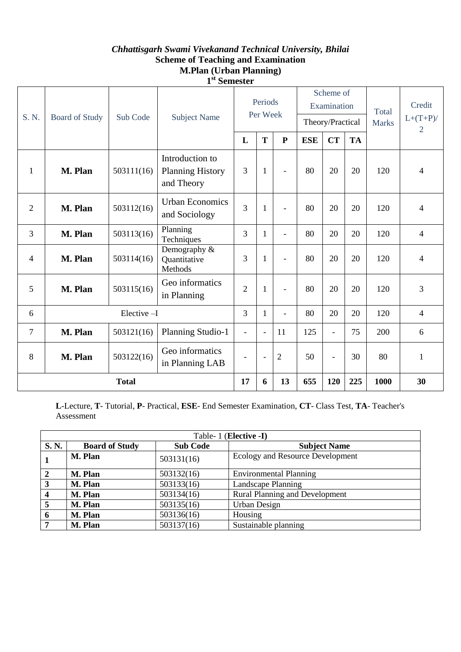## *Chhattisgarh Swami Vivekanand Technical University, Bhilai* **Scheme of Teaching and Examination M.Plan (Urban Planning) 1 st Semester**

| S. N.           | <b>Board of Study</b> | Sub Code   | <b>Subject Name</b>                                      | Periods<br>Per Week |                | Scheme of<br>Examination |            |                | Total<br><b>Marks</b> | Credit<br>$L+(T+P)/$<br>2 |                          |
|-----------------|-----------------------|------------|----------------------------------------------------------|---------------------|----------------|--------------------------|------------|----------------|-----------------------|---------------------------|--------------------------|
|                 |                       |            |                                                          |                     |                | Theory/Practical         |            |                |                       |                           |                          |
|                 |                       |            |                                                          | L                   | T              | ${\bf P}$                | <b>ESE</b> | <b>CT</b>      | <b>TA</b>             |                           |                          |
| $\mathbf{1}$    | M. Plan               | 503111(16) | Introduction to<br><b>Planning History</b><br>and Theory | 3                   | $\mathbf{1}$   | $\blacksquare$           | 80         | 20             | 20                    | 120                       | $\overline{\mathcal{A}}$ |
| $\overline{2}$  | M. Plan               | 503112(16) | <b>Urban Economics</b><br>and Sociology                  | 3                   | $\mathbf{1}$   | $\overline{\phantom{0}}$ | 80         | 20             | 20                    | 120                       | $\overline{4}$           |
| 3               | M. Plan               | 503113(16) | Planning<br>Techniques                                   | 3                   | 1              | $\overline{\phantom{0}}$ | 80         | 20             | 20                    | 120                       | $\overline{4}$           |
| $\overline{4}$  | M. Plan               | 503114(16) | Demography &<br>Quantitative<br>Methods                  | 3                   | 1              | $\blacksquare$           | 80         | 20             | 20                    | 120                       | $\overline{4}$           |
| 5               | M. Plan               | 503115(16) | Geo informatics<br>in Planning                           | $\overline{2}$      | $\mathbf{1}$   |                          | 80         | 20             | 20                    | 120                       | 3                        |
| Elective-I<br>6 |                       |            | 3                                                        | $\mathbf{1}$        | $\overline{a}$ | 80                       | 20         | 20             | 120                   | $\overline{4}$            |                          |
| $\overline{7}$  | M. Plan               | 503121(16) | Planning Studio-1                                        | $\blacksquare$      | $\overline{a}$ | 11                       | 125        | $\overline{a}$ | 75                    | 200                       | 6                        |
| 8               | M. Plan               | 503122(16) | Geo informatics<br>in Planning LAB                       | $\blacksquare$      | $\overline{a}$ | $\overline{2}$           | 50         | $\overline{a}$ | 30                    | 80                        | 1                        |
| <b>Total</b>    |                       |            |                                                          | 17                  | 6              | 13                       | 655        | 120            | 225                   | 1000                      | 30                       |

**L**-Lecture, **T**- Tutorial, **P**- Practical, **ESE**- End Semester Examination, **CT**- Class Test, **TA**- Teacher's Assessment

| Table- 1 (Elective -I) |                       |                 |                                       |  |  |  |  |
|------------------------|-----------------------|-----------------|---------------------------------------|--|--|--|--|
| S.N.                   | <b>Board of Study</b> | <b>Sub Code</b> | <b>Subject Name</b>                   |  |  |  |  |
|                        | M. Plan               | 503131(16)      | Ecology and Resource Development      |  |  |  |  |
| $\overline{2}$         | M. Plan               | 503132(16)      | <b>Environmental Planning</b>         |  |  |  |  |
| 3                      | M. Plan               | 503133(16)      | Landscape Planning                    |  |  |  |  |
| 4                      | M. Plan               | 503134(16)      | <b>Rural Planning and Development</b> |  |  |  |  |
| 5                      | M. Plan               | 503135(16)      | Urban Design                          |  |  |  |  |
| 6                      | M. Plan               | 503136(16)      | Housing                               |  |  |  |  |
|                        | M. Plan               | 503137(16)      | Sustainable planning                  |  |  |  |  |